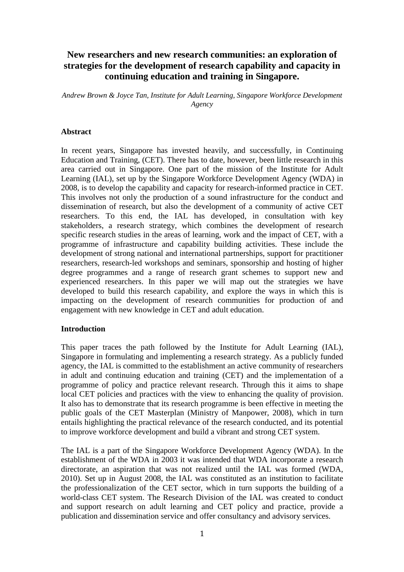# **New researchers and new research communities: an exploration of strategies for the development of research capability and capacity in continuing education and training in Singapore.**

*Andrew Brown & Joyce Tan, Institute for Adult Learning, Singapore Workforce Development Agency* 

#### **Abstract**

In recent years, Singapore has invested heavily, and successfully, in Continuing Education and Training, (CET). There has to date, however, been little research in this area carried out in Singapore. One part of the mission of the Institute for Adult Learning (IAL), set up by the Singapore Workforce Development Agency (WDA) in 2008, is to develop the capability and capacity for research-informed practice in CET. This involves not only the production of a sound infrastructure for the conduct and dissemination of research, but also the development of a community of active CET researchers. To this end, the IAL has developed, in consultation with key stakeholders, a research strategy, which combines the development of research specific research studies in the areas of learning, work and the impact of CET, with a programme of infrastructure and capability building activities. These include the development of strong national and international partnerships, support for practitioner researchers, research-led workshops and seminars, sponsorship and hosting of higher degree programmes and a range of research grant schemes to support new and experienced researchers. In this paper we will map out the strategies we have developed to build this research capability, and explore the ways in which this is impacting on the development of research communities for production of and engagement with new knowledge in CET and adult education.

#### **Introduction**

This paper traces the path followed by the Institute for Adult Learning (IAL), Singapore in formulating and implementing a research strategy. As a publicly funded agency, the IAL is committed to the establishment an active community of researchers in adult and continuing education and training (CET) and the implementation of a programme of policy and practice relevant research. Through this it aims to shape local CET policies and practices with the view to enhancing the quality of provision. It also has to demonstrate that its research programme is been effective in meeting the public goals of the CET Masterplan (Ministry of Manpower, 2008), which in turn entails highlighting the practical relevance of the research conducted, and its potential to improve workforce development and build a vibrant and strong CET system.

The IAL is a part of the Singapore Workforce Development Agency (WDA). In the establishment of the WDA in 2003 it was intended that WDA incorporate a research directorate, an aspiration that was not realized until the IAL was formed (WDA, 2010). Set up in August 2008, the IAL was constituted as an institution to facilitate the professionalization of the CET sector, which in turn supports the building of a world-class CET system. The Research Division of the IAL was created to conduct and support research on adult learning and CET policy and practice, provide a publication and dissemination service and offer consultancy and advisory services.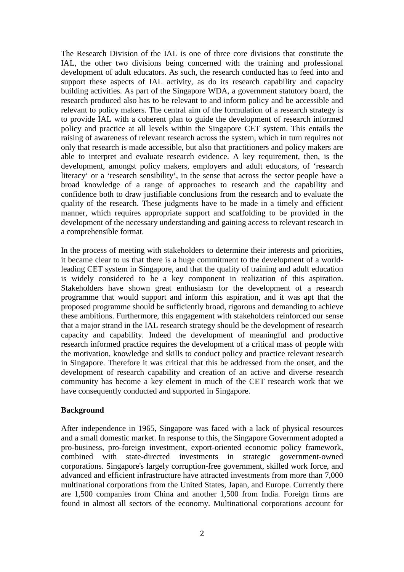The Research Division of the IAL is one of three core divisions that constitute the IAL, the other two divisions being concerned with the training and professional development of adult educators. As such, the research conducted has to feed into and support these aspects of IAL activity, as do its research capability and capacity building activities. As part of the Singapore WDA, a government statutory board, the research produced also has to be relevant to and inform policy and be accessible and relevant to policy makers. The central aim of the formulation of a research strategy is to provide IAL with a coherent plan to guide the development of research informed policy and practice at all levels within the Singapore CET system. This entails the raising of awareness of relevant research across the system, which in turn requires not only that research is made accessible, but also that practitioners and policy makers are able to interpret and evaluate research evidence. A key requirement, then, is the development, amongst policy makers, employers and adult educators, of 'research literacy' or a 'research sensibility', in the sense that across the sector people have a broad knowledge of a range of approaches to research and the capability and confidence both to draw justifiable conclusions from the research and to evaluate the quality of the research. These judgments have to be made in a timely and efficient manner, which requires appropriate support and scaffolding to be provided in the development of the necessary understanding and gaining access to relevant research in a comprehensible format.

In the process of meeting with stakeholders to determine their interests and priorities, it became clear to us that there is a huge commitment to the development of a worldleading CET system in Singapore, and that the quality of training and adult education is widely considered to be a key component in realization of this aspiration. Stakeholders have shown great enthusiasm for the development of a research programme that would support and inform this aspiration, and it was apt that the proposed programme should be sufficiently broad, rigorous and demanding to achieve these ambitions. Furthermore, this engagement with stakeholders reinforced our sense that a major strand in the IAL research strategy should be the development of research capacity and capability. Indeed the development of meaningful and productive research informed practice requires the development of a critical mass of people with the motivation, knowledge and skills to conduct policy and practice relevant research in Singapore. Therefore it was critical that this be addressed from the onset, and the development of research capability and creation of an active and diverse research community has become a key element in much of the CET research work that we have consequently conducted and supported in Singapore.

## **Background**

After independence in 1965, Singapore was faced with a lack of physical resources and a small domestic market. In response to this, the Singapore Government adopted a pro-business, pro-foreign investment, export-oriented economic policy framework, combined with state-directed investments in strategic government-owned corporations. Singapore's largely corruption-free government, skilled work force, and advanced and efficient infrastructure have attracted investments from more than 7,000 multinational corporations from the United States, Japan, and Europe. Currently there are 1,500 companies from China and another 1,500 from India. Foreign firms are found in almost all sectors of the economy. Multinational corporations account for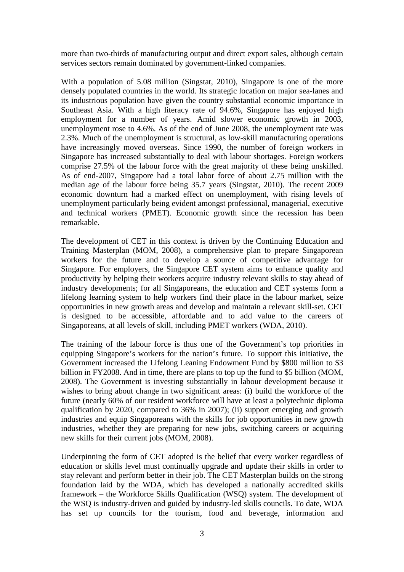more than two-thirds of manufacturing output and direct export sales, although certain services sectors remain dominated by government-linked companies.

With a population of 5.08 million (Singstat, 2010), Singapore is one of the more densely populated countries in the world. Its strategic location on major sea-lanes and its industrious population have given the country substantial economic importance in Southeast Asia. With a high literacy rate of 94.6%, Singapore has enjoyed high employment for a number of years. Amid slower economic growth in 2003, unemployment rose to 4.6%. As of the end of June 2008, the unemployment rate was 2.3%. Much of the unemployment is structural, as low-skill manufacturing operations have increasingly moved overseas. Since 1990, the number of foreign workers in Singapore has increased substantially to deal with labour shortages. Foreign workers comprise 27.5% of the labour force with the great majority of these being unskilled. As of end-2007, Singapore had a total labor force of about 2.75 million with the median age of the labour force being 35.7 years (Singstat, 2010). The recent 2009 economic downturn had a marked effect on unemployment, with rising levels of unemployment particularly being evident amongst professional, managerial, executive and technical workers (PMET). Economic growth since the recession has been remarkable.

The development of CET in this context is driven by the Continuing Education and Training Masterplan (MOM, 2008), a comprehensive plan to prepare Singaporean workers for the future and to develop a source of competitive advantage for Singapore. For employers, the Singapore CET system aims to enhance quality and productivity by helping their workers acquire industry relevant skills to stay ahead of industry developments; for all Singaporeans, the education and CET systems form a lifelong learning system to help workers find their place in the labour market, seize opportunities in new growth areas and develop and maintain a relevant skill-set. CET is designed to be accessible, affordable and to add value to the careers of Singaporeans, at all levels of skill, including PMET workers (WDA, 2010).

The training of the labour force is thus one of the Government's top priorities in equipping Singapore's workers for the nation's future. To support this initiative, the Government increased the Lifelong Leaning Endowment Fund by \$800 million to \$3 billion in FY2008. And in time, there are plans to top up the fund to \$5 billion (MOM, 2008). The Government is investing substantially in labour development because it wishes to bring about change in two significant areas: (i) build the workforce of the future (nearly 60% of our resident workforce will have at least a polytechnic diploma qualification by 2020, compared to 36% in 2007); (ii) support emerging and growth industries and equip Singaporeans with the skills for job opportunities in new growth industries, whether they are preparing for new jobs, switching careers or acquiring new skills for their current jobs (MOM, 2008).

Underpinning the form of CET adopted is the belief that every worker regardless of education or skills level must continually upgrade and update their skills in order to stay relevant and perform better in their job. The CET Masterplan builds on the strong foundation laid by the WDA, which has developed a nationally accredited skills framework – the Workforce Skills Qualification (WSQ) system. The development of the WSQ is industry-driven and guided by industry-led skills councils. To date, WDA has set up councils for the tourism, food and beverage, information and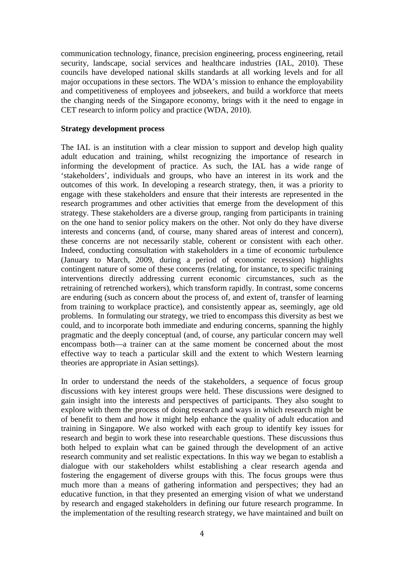communication technology, finance, precision engineering, process engineering, retail security, landscape, social services and healthcare industries (IAL, 2010). These councils have developed national skills standards at all working levels and for all major occupations in these sectors. The WDA's mission to enhance the employability and competitiveness of employees and jobseekers, and build a workforce that meets the changing needs of the Singapore economy, brings with it the need to engage in CET research to inform policy and practice (WDA, 2010).

#### **Strategy development process**

The IAL is an institution with a clear mission to support and develop high quality adult education and training, whilst recognizing the importance of research in informing the development of practice. As such, the IAL has a wide range of 'stakeholders', individuals and groups, who have an interest in its work and the outcomes of this work. In developing a research strategy, then, it was a priority to engage with these stakeholders and ensure that their interests are represented in the research programmes and other activities that emerge from the development of this strategy. These stakeholders are a diverse group, ranging from participants in training on the one hand to senior policy makers on the other. Not only do they have diverse interests and concerns (and, of course, many shared areas of interest and concern), these concerns are not necessarily stable, coherent or consistent with each other. Indeed, conducting consultation with stakeholders in a time of economic turbulence (January to March, 2009, during a period of economic recession) highlights contingent nature of some of these concerns (relating, for instance, to specific training interventions directly addressing current economic circumstances, such as the retraining of retrenched workers), which transform rapidly. In contrast, some concerns are enduring (such as concern about the process of, and extent of, transfer of learning from training to workplace practice), and consistently appear as, seemingly, age old problems. In formulating our strategy, we tried to encompass this diversity as best we could, and to incorporate both immediate and enduring concerns, spanning the highly pragmatic and the deeply conceptual (and, of course, any particular concern may well encompass both—a trainer can at the same moment be concerned about the most effective way to teach a particular skill and the extent to which Western learning theories are appropriate in Asian settings).

In order to understand the needs of the stakeholders, a sequence of focus group discussions with key interest groups were held. These discussions were designed to gain insight into the interests and perspectives of participants. They also sought to explore with them the process of doing research and ways in which research might be of benefit to them and how it might help enhance the quality of adult education and training in Singapore. We also worked with each group to identify key issues for research and begin to work these into researchable questions. These discussions thus both helped to explain what can be gained through the development of an active research community and set realistic expectations. In this way we began to establish a dialogue with our stakeholders whilst establishing a clear research agenda and fostering the engagement of diverse groups with this. The focus groups were thus much more than a means of gathering information and perspectives; they had an educative function, in that they presented an emerging vision of what we understand by research and engaged stakeholders in defining our future research programme. In the implementation of the resulting research strategy, we have maintained and built on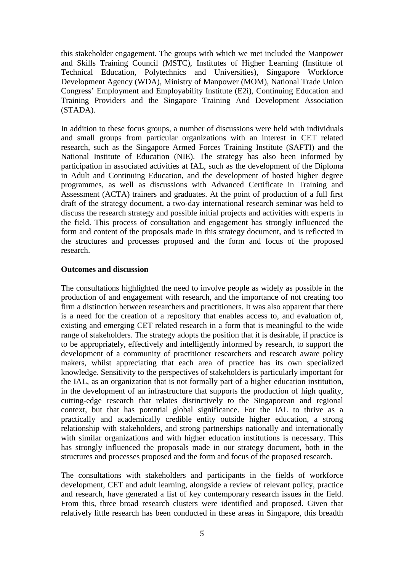this stakeholder engagement. The groups with which we met included the Manpower and Skills Training Council (MSTC), Institutes of Higher Learning (Institute of Technical Education, Polytechnics and Universities), Singapore Workforce Development Agency (WDA), Ministry of Manpower (MOM), National Trade Union Congress' Employment and Employability Institute (E2i), Continuing Education and Training Providers and the Singapore Training And Development Association (STADA).

In addition to these focus groups, a number of discussions were held with individuals and small groups from particular organizations with an interest in CET related research, such as the Singapore Armed Forces Training Institute (SAFTI) and the National Institute of Education (NIE). The strategy has also been informed by participation in associated activities at IAL, such as the development of the Diploma in Adult and Continuing Education, and the development of hosted higher degree programmes, as well as discussions with Advanced Certificate in Training and Assessment (ACTA) trainers and graduates. At the point of production of a full first draft of the strategy document, a two-day international research seminar was held to discuss the research strategy and possible initial projects and activities with experts in the field. This process of consultation and engagement has strongly influenced the form and content of the proposals made in this strategy document, and is reflected in the structures and processes proposed and the form and focus of the proposed research.

### **Outcomes and discussion**

The consultations highlighted the need to involve people as widely as possible in the production of and engagement with research, and the importance of not creating too firm a distinction between researchers and practitioners. It was also apparent that there is a need for the creation of a repository that enables access to, and evaluation of, existing and emerging CET related research in a form that is meaningful to the wide range of stakeholders. The strategy adopts the position that it is desirable, if practice is to be appropriately, effectively and intelligently informed by research, to support the development of a community of practitioner researchers and research aware policy makers, whilst appreciating that each area of practice has its own specialized knowledge. Sensitivity to the perspectives of stakeholders is particularly important for the IAL, as an organization that is not formally part of a higher education institution, in the development of an infrastructure that supports the production of high quality, cutting-edge research that relates distinctively to the Singaporean and regional context, but that has potential global significance. For the IAL to thrive as a practically and academically credible entity outside higher education, a strong relationship with stakeholders, and strong partnerships nationally and internationally with similar organizations and with higher education institutions is necessary. This has strongly influenced the proposals made in our strategy document, both in the structures and processes proposed and the form and focus of the proposed research.

The consultations with stakeholders and participants in the fields of workforce development, CET and adult learning, alongside a review of relevant policy, practice and research, have generated a list of key contemporary research issues in the field. From this, three broad research clusters were identified and proposed. Given that relatively little research has been conducted in these areas in Singapore, this breadth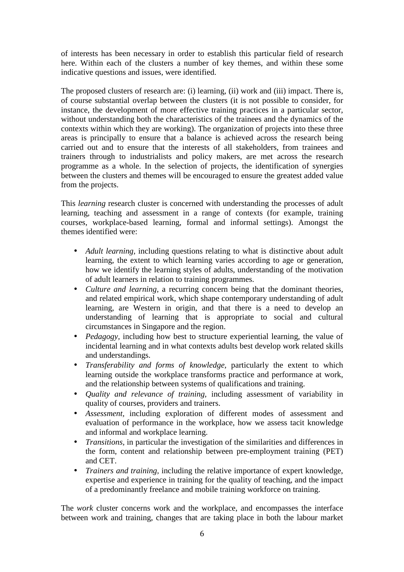of interests has been necessary in order to establish this particular field of research here. Within each of the clusters a number of key themes, and within these some indicative questions and issues, were identified.

The proposed clusters of research are: (i) learning, (ii) work and (iii) impact. There is, of course substantial overlap between the clusters (it is not possible to consider, for instance, the development of more effective training practices in a particular sector, without understanding both the characteristics of the trainees and the dynamics of the contexts within which they are working). The organization of projects into these three areas is principally to ensure that a balance is achieved across the research being carried out and to ensure that the interests of all stakeholders, from trainees and trainers through to industrialists and policy makers, are met across the research programme as a whole. In the selection of projects, the identification of synergies between the clusters and themes will be encouraged to ensure the greatest added value from the projects.

This *learning* research cluster is concerned with understanding the processes of adult learning, teaching and assessment in a range of contexts (for example, training courses, workplace-based learning, formal and informal settings). Amongst the themes identified were:

- *Adult learning, including questions relating to what is distinctive about adult* learning, the extent to which learning varies according to age or generation, how we identify the learning styles of adults, understanding of the motivation of adult learners in relation to training programmes.
- *Culture and learning,* a recurring concern being that the dominant theories, and related empirical work, which shape contemporary understanding of adult learning, are Western in origin, and that there is a need to develop an understanding of learning that is appropriate to social and cultural circumstances in Singapore and the region.
- *Pedagogy*, including how best to structure experiential learning, the value of incidental learning and in what contexts adults best develop work related skills and understandings.
- *Transferability and forms of knowledge,* particularly the extent to which learning outside the workplace transforms practice and performance at work, and the relationship between systems of qualifications and training.
- *Quality and relevance of training,* including assessment of variability in quality of courses, providers and trainers.
- *Assessment,* including exploration of different modes of assessment and evaluation of performance in the workplace, how we assess tacit knowledge and informal and workplace learning.
- *Transitions,* in particular the investigation of the similarities and differences in the form, content and relationship between pre-employment training (PET) and CET.
- *Trainers and training,* including the relative importance of expert knowledge, expertise and experience in training for the quality of teaching, and the impact of a predominantly freelance and mobile training workforce on training.

The *work* cluster concerns work and the workplace, and encompasses the interface between work and training, changes that are taking place in both the labour market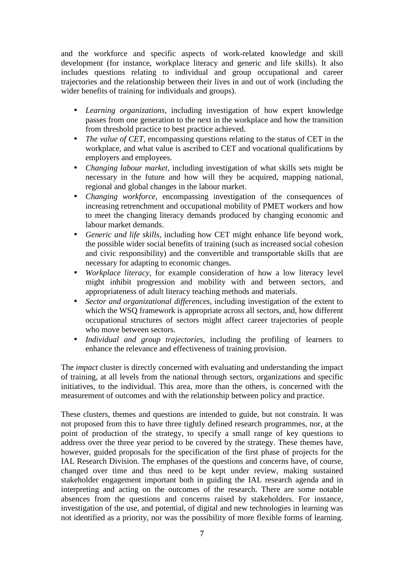and the workforce and specific aspects of work-related knowledge and skill development (for instance, workplace literacy and generic and life skills). It also includes questions relating to individual and group occupational and career trajectories and the relationship between their lives in and out of work (including the wider benefits of training for individuals and groups).

- *Learning organizations,* including investigation of how expert knowledge passes from one generation to the next in the workplace and how the transition from threshold practice to best practice achieved.
- *The value of CET*, encompassing questions relating to the status of CET in the workplace, and what value is ascribed to CET and vocational qualifications by employers and employees.
- *Changing labour market,* including investigation of what skills sets might be necessary in the future and how will they be acquired, mapping national, regional and global changes in the labour market.
- *Changing workforce,* encompassing investigation of the consequences of increasing retrenchment and occupational mobility of PMET workers and how to meet the changing literacy demands produced by changing economic and labour market demands.
- *Generic and life skills,* including how CET might enhance life beyond work, the possible wider social benefits of training (such as increased social cohesion and civic responsibility) and the convertible and transportable skills that are necessary for adapting to economic changes.
- *Workplace literacy,* for example consideration of how a low literacy level might inhibit progression and mobility with and between sectors, and appropriateness of adult literacy teaching methods and materials.
- *Sector and organizational differences*, including investigation of the extent to which the WSQ framework is appropriate across all sectors, and, how different occupational structures of sectors might affect career trajectories of people who move between sectors.
- *Individual and group trajectories*, including the profiling of learners to enhance the relevance and effectiveness of training provision.

The *impact* cluster is directly concerned with evaluating and understanding the impact of training, at all levels from the national through sectors, organizations and specific initiatives, to the individual. This area, more than the others, is concerned with the measurement of outcomes and with the relationship between policy and practice.

These clusters, themes and questions are intended to guide, but not constrain. It was not proposed from this to have three tightly defined research programmes, nor, at the point of production of the strategy, to specify a small range of key questions to address over the three year period to be covered by the strategy. These themes have, however, guided proposals for the specification of the first phase of projects for the IAL Research Division. The emphases of the questions and concerns have, of course, changed over time and thus need to be kept under review, making sustained stakeholder engagement important both in guiding the IAL research agenda and in interpreting and acting on the outcomes of the research. There are some notable absences from the questions and concerns raised by stakeholders. For instance, investigation of the use, and potential, of digital and new technologies in learning was not identified as a priority, nor was the possibility of more flexible forms of learning.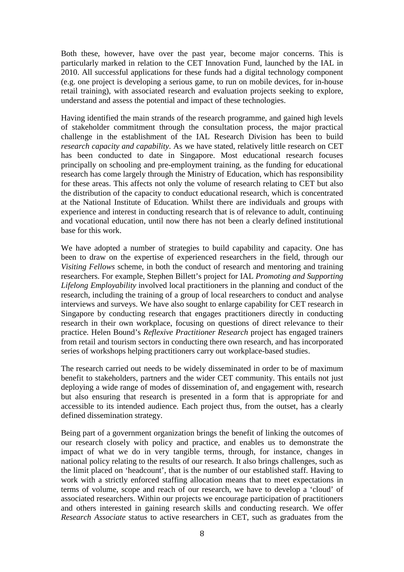Both these, however, have over the past year, become major concerns. This is particularly marked in relation to the CET Innovation Fund, launched by the IAL in 2010. All successful applications for these funds had a digital technology component (e.g. one project is developing a serious game, to run on mobile devices, for in-house retail training), with associated research and evaluation projects seeking to explore, understand and assess the potential and impact of these technologies.

Having identified the main strands of the research programme, and gained high levels of stakeholder commitment through the consultation process, the major practical challenge in the establishment of the IAL Research Division has been to build *research capacity and capability*. As we have stated, relatively little research on CET has been conducted to date in Singapore. Most educational research focuses principally on schooling and pre-employment training, as the funding for educational research has come largely through the Ministry of Education, which has responsibility for these areas. This affects not only the volume of research relating to CET but also the distribution of the capacity to conduct educational research, which is concentrated at the National Institute of Education. Whilst there are individuals and groups with experience and interest in conducting research that is of relevance to adult, continuing and vocational education, until now there has not been a clearly defined institutional base for this work.

We have adopted a number of strategies to build capability and capacity. One has been to draw on the expertise of experienced researchers in the field, through our *Visiting Fellows* scheme, in both the conduct of research and mentoring and training researchers. For example, Stephen Billett's project for IAL *Promoting and Supporting Lifelong Employability* involved local practitioners in the planning and conduct of the research, including the training of a group of local researchers to conduct and analyse interviews and surveys. We have also sought to enlarge capability for CET research in Singapore by conducting research that engages practitioners directly in conducting research in their own workplace, focusing on questions of direct relevance to their practice. Helen Bound's *Reflexive Practitioner Research* project has engaged trainers from retail and tourism sectors in conducting there own research, and has incorporated series of workshops helping practitioners carry out workplace-based studies.

The research carried out needs to be widely disseminated in order to be of maximum benefit to stakeholders, partners and the wider CET community. This entails not just deploying a wide range of modes of dissemination of, and engagement with, research but also ensuring that research is presented in a form that is appropriate for and accessible to its intended audience. Each project thus, from the outset, has a clearly defined dissemination strategy.

Being part of a government organization brings the benefit of linking the outcomes of our research closely with policy and practice, and enables us to demonstrate the impact of what we do in very tangible terms, through, for instance, changes in national policy relating to the results of our research. It also brings challenges, such as the limit placed on 'headcount', that is the number of our established staff. Having to work with a strictly enforced staffing allocation means that to meet expectations in terms of volume, scope and reach of our research, we have to develop a 'cloud' of associated researchers. Within our projects we encourage participation of practitioners and others interested in gaining research skills and conducting research. We offer *Research Associate* status to active researchers in CET, such as graduates from the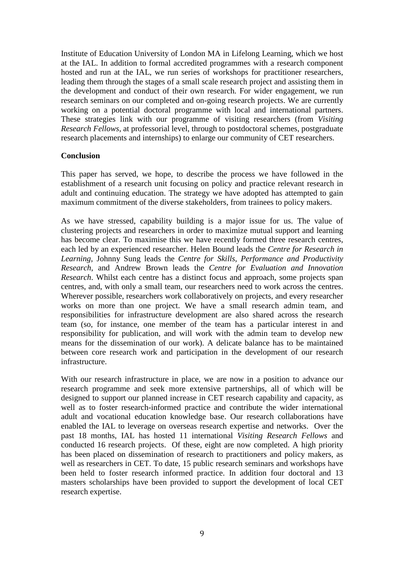Institute of Education University of London MA in Lifelong Learning, which we host at the IAL. In addition to formal accredited programmes with a research component hosted and run at the IAL, we run series of workshops for practitioner researchers, leading them through the stages of a small scale research project and assisting them in the development and conduct of their own research. For wider engagement, we run research seminars on our completed and on-going research projects. We are currently working on a potential doctoral programme with local and international partners. These strategies link with our programme of visiting researchers (from *Visiting Research Fellows*, at professorial level, through to postdoctoral schemes, postgraduate research placements and internships) to enlarge our community of CET researchers.

## **Conclusion**

This paper has served, we hope, to describe the process we have followed in the establishment of a research unit focusing on policy and practice relevant research in adult and continuing education. The strategy we have adopted has attempted to gain maximum commitment of the diverse stakeholders, from trainees to policy makers.

As we have stressed, capability building is a major issue for us. The value of clustering projects and researchers in order to maximize mutual support and learning has become clear. To maximise this we have recently formed three research centres, each led by an experienced researcher. Helen Bound leads the *Centre for Research in Learning*, Johnny Sung leads the *Centre for Skills, Performance and Productivity Research*, and Andrew Brown leads the *Centre for Evaluation and Innovation Research*. Whilst each centre has a distinct focus and approach, some projects span centres, and, with only a small team, our researchers need to work across the centres. Wherever possible, researchers work collaboratively on projects, and every researcher works on more than one project. We have a small research admin team, and responsibilities for infrastructure development are also shared across the research team (so, for instance, one member of the team has a particular interest in and responsibility for publication, and will work with the admin team to develop new means for the dissemination of our work). A delicate balance has to be maintained between core research work and participation in the development of our research infrastructure.

With our research infrastructure in place, we are now in a position to advance our research programme and seek more extensive partnerships, all of which will be designed to support our planned increase in CET research capability and capacity, as well as to foster research-informed practice and contribute the wider international adult and vocational education knowledge base. Our research collaborations have enabled the IAL to leverage on overseas research expertise and networks. Over the past 18 months, IAL has hosted 11 international *Visiting Research Fellows* and conducted 16 research projects. Of these, eight are now completed. A high priority has been placed on dissemination of research to practitioners and policy makers, as well as researchers in CET. To date, 15 public research seminars and workshops have been held to foster research informed practice. In addition four doctoral and 13 masters scholarships have been provided to support the development of local CET research expertise.